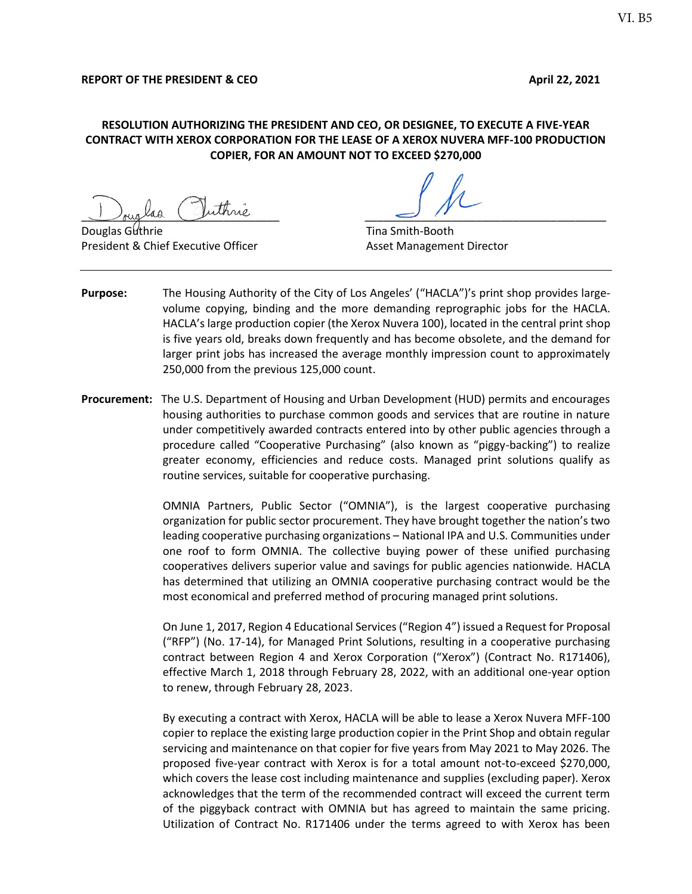## **RESOLUTION AUTHORIZING THE PRESIDENT AND CEO, OR DESIGNEE, TO EXECUTE A FIVE-YEAR CONTRACT WITH XEROX CORPORATION FOR THE LEASE OF A XEROX NUVERA MFF-100 PRODUCTION COPIER, FOR AN AMOUNT NOT TO EXCEED \$270,000**

 $\frac{1}{\sqrt{2\pi}}$  as  $\frac{1}{\sqrt{2\pi}}$ 

**Douglas Guthrie Community Community Community Community Community Community Community Community Community Community** President & Chief Executive Officer Asset Management Director

- **Purpose:** The Housing Authority of the City of Los Angeles' ("HACLA")'s print shop provides largevolume copying, binding and the more demanding reprographic jobs for the HACLA. HACLA's large production copier (the Xerox Nuvera 100), located in the central print shop is five years old, breaks down frequently and has become obsolete, and the demand for larger print jobs has increased the average monthly impression count to approximately 250,000 from the previous 125,000 count.
- **Procurement:** The U.S. Department of Housing and Urban Development (HUD) permits and encourages housing authorities to purchase common goods and services that are routine in nature under competitively awarded contracts entered into by other public agencies through a procedure called "Cooperative Purchasing" (also known as "piggy-backing") to realize greater economy, efficiencies and reduce costs. Managed print solutions qualify as routine services, suitable for cooperative purchasing.

OMNIA Partners, Public Sector ("OMNIA"), is the largest cooperative purchasing organization for public sector procurement. They have brought together the nation's two leading cooperative purchasing organizations – National IPA and U.S. Communities under one roof to form OMNIA. The collective buying power of these unified purchasing cooperatives delivers superior value and savings for public agencies nationwide. HACLA has determined that utilizing an OMNIA cooperative purchasing contract would be the most economical and preferred method of procuring managed print solutions.

On June 1, 2017, Region 4 Educational Services ("Region 4") issued a Request for Proposal ("RFP") (No. 17-14), for Managed Print Solutions, resulting in a cooperative purchasing contract between Region 4 and Xerox Corporation ("Xerox") (Contract No. R171406), effective March 1, 2018 through February 28, 2022, with an additional one-year option to renew, through February 28, 2023.

By executing a contract with Xerox, HACLA will be able to lease a Xerox Nuvera MFF-100 copier to replace the existing large production copier in the Print Shop and obtain regular servicing and maintenance on that copier for five years from May 2021 to May 2026. The proposed five-year contract with Xerox is for a total amount not-to-exceed \$270,000, which covers the lease cost including maintenance and supplies (excluding paper). Xerox acknowledges that the term of the recommended contract will exceed the current term of the piggyback contract with OMNIA but has agreed to maintain the same pricing. Utilization of Contract No. R171406 under the terms agreed to with Xerox has been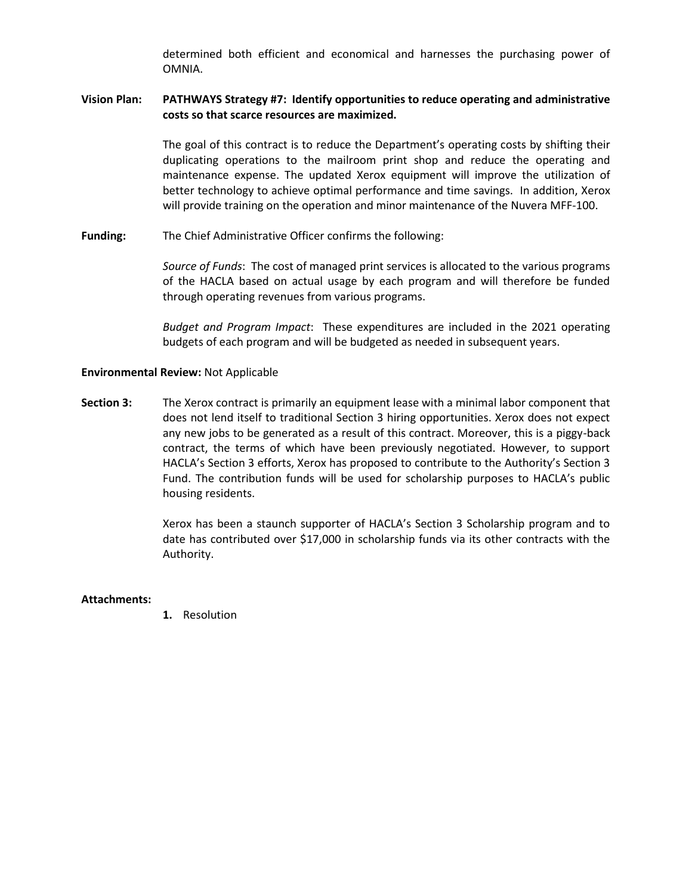determined both efficient and economical and harnesses the purchasing power of OMNIA.

## **Vision Plan: PATHWAYS Strategy #7: Identify opportunities to reduce operating and administrative costs so that scarce resources are maximized.**

The goal of this contract is to reduce the Department's operating costs by shifting their duplicating operations to the mailroom print shop and reduce the operating and maintenance expense. The updated Xerox equipment will improve the utilization of better technology to achieve optimal performance and time savings. In addition, Xerox will provide training on the operation and minor maintenance of the Nuvera MFF-100.

**Funding:** The Chief Administrative Officer confirms the following:

*Source of Funds*: The cost of managed print services is allocated to the various programs of the HACLA based on actual usage by each program and will therefore be funded through operating revenues from various programs.

*Budget and Program Impact*: These expenditures are included in the 2021 operating budgets of each program and will be budgeted as needed in subsequent years.

### **Environmental Review:** Not Applicable

**Section 3:** The Xerox contract is primarily an equipment lease with a minimal labor component that does not lend itself to traditional Section 3 hiring opportunities. Xerox does not expect any new jobs to be generated as a result of this contract. Moreover, this is a piggy-back contract, the terms of which have been previously negotiated. However, to support HACLA's Section 3 efforts, Xerox has proposed to contribute to the Authority's Section 3 Fund. The contribution funds will be used for scholarship purposes to HACLA's public housing residents.

> Xerox has been a staunch supporter of HACLA's Section 3 Scholarship program and to date has contributed over \$17,000 in scholarship funds via its other contracts with the Authority.

#### **Attachments:**

**1.** Resolution